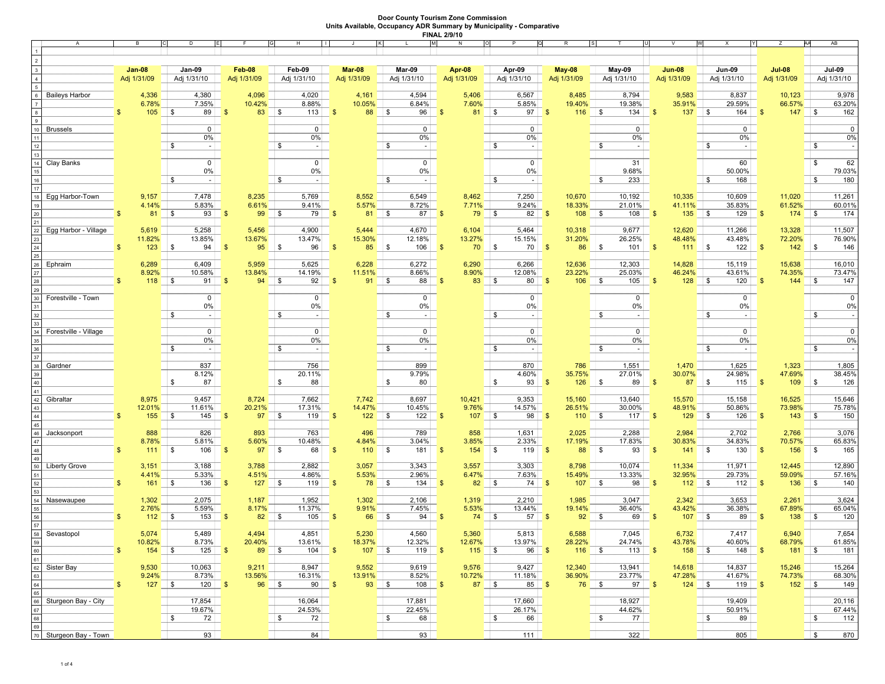| A                                  | B             |                     | D                                     | E                   | H                     |                            |                    | N                      | $\circ$                             | $\mathsf{R}$             |                            | $\vee$                     | W<br>X                         | z                          | AB<br>W                         |
|------------------------------------|---------------|---------------------|---------------------------------------|---------------------|-----------------------|----------------------------|--------------------|------------------------|-------------------------------------|--------------------------|----------------------------|----------------------------|--------------------------------|----------------------------|---------------------------------|
| $\overline{2}$                     |               |                     |                                       |                     |                       |                            |                    |                        |                                     |                          |                            |                            |                                |                            |                                 |
|                                    | <b>Jan 08</b> |                     | Jan-09                                | Feb-08              | Feb-09                | Mar <sub>08</sub>          | Mar-09             | Apr 08                 | Apr-09                              | <b>May-08</b>            | May-09                     | <b>Jun-08</b>              | <b>Jun-09</b>                  | <b>Jul-08</b>              | <b>Jul-09</b>                   |
|                                    | Adj 1/31/09   |                     | Adj 1/31/10                           | Adj 1/31/09         | Adj 1/31/10           | Adj 1/31/09                | Adj 1/31/10        | Adj 1/31/09            | Adj 1/31/10                         | Adj 1/31/09              | Adj 1/31/10                | Adj 1/31/09                | Adj 1/31/10                    | Adj 1/31/09                | Adj 1/31/10                     |
|                                    |               |                     |                                       |                     |                       |                            |                    |                        |                                     |                          |                            |                            |                                |                            |                                 |
| <b>Baileys Harbor</b>              |               | 4,336<br>6.78%      | 4,380<br>7.35%                        | 4,096<br>10.42%     | 4,020<br>8.88%        | 4,161<br>10.05%            | 4,594<br>6.84%     | 5,406<br>7.60%         | 6,567<br>5.85%                      | 8,485<br>19.40%          | 8,794<br>19.38%            | 9,583<br>35.91%            | 8,837<br>29.59%                | 10,123<br>66.57%           | 9,978<br>63.20%                 |
|                                    |               | 105                 | $89$ \$<br>$\vert$ \$                 | 83                  | l \$<br>113           | $\mathbf{s}$<br>88 \$      | $96 \mid$          | $\sqrt{3}$<br>81       | <b>S</b><br>97                      | $\sqrt{3}$<br>116        | \$<br>134                  | 137<br><b>S</b>            | \$<br>164                      | 147<br>$\sqrt{3}$          | \$<br>162                       |
|                                    |               |                     |                                       |                     |                       |                            |                    |                        |                                     |                          |                            |                            |                                |                            |                                 |
| 10<br><b>Brussels</b>              |               |                     | 0 <sup>1</sup><br>$0\%$               |                     | $\circ$<br>$0\%$      |                            | 0<br>0%            |                        | 0 <br>0%                            |                          | 0 <sup>1</sup><br>$0\%$    |                            | $\overline{0}$<br>0%           |                            | $\overline{0}$<br>0%            |
|                                    |               |                     | \$<br>$-1$                            |                     | \$<br>$\overline{z}$  |                            | \$                 |                        | \$                                  |                          | S<br>$\sim$                |                            | \$<br>$\overline{\phantom{a}}$ |                            | \$                              |
|                                    |               |                     |                                       |                     |                       |                            |                    |                        |                                     |                          |                            |                            |                                |                            |                                 |
| Clay Banks<br>14                   |               |                     | 0 <sup>1</sup>                        |                     | 0 <sup>1</sup>        |                            | $\mathbf 0$        |                        | 0 <sup>1</sup>                      |                          | 31                         |                            | 60                             |                            | 62<br>\$                        |
|                                    |               |                     | $0\%$<br>\$<br>$\sim$ 1.              |                     | $0\%$<br>\$<br>$\sim$ |                            | 0%<br>\$           |                        | 0%<br>S<br>$\overline{\phantom{a}}$ |                          | 9.68%<br>\$<br>233         |                            | 50.00%<br>\$<br>168            |                            | 79.03%<br>\$<br>180             |
|                                    |               |                     |                                       |                     |                       |                            |                    |                        |                                     |                          |                            |                            |                                |                            |                                 |
| 18<br>Egg Harbor-Town              |               | 9,157               | 7,478                                 | 8,235               | 5,769                 | 8,552                      | 6,549              | 8,462                  | 7,250                               | 10,670                   | 10,192                     | 10,335                     | 10,609                         | 11,020                     | 11,261                          |
|                                    |               | 4.14%               | 5.83%                                 | 6.61%               | 9.41%                 | 5.57%                      | 8.72%              | 7.71%                  | 9.24%                               | 18.33%                   | 21.01%                     | 41.11%                     | 35.83%                         | 61.52%                     | 60.01%                          |
|                                    |               | 81                  | $93 \mid \frac{1}{9}$<br> \$          | 99                  | 79<br><b>S</b>        | 81 \$<br>$\mathbf{s}$      | 87                 | $\sqrt{3}$<br>79       | $\sqrt{S}$<br>82                    | 108<br><b>S</b>          | 108<br>$\frac{1}{3}$       | $135$ \\$<br>$\sqrt{3}$    | 129                            | $174$ \\$<br>$\mathbb{S}$  | 174                             |
| Egg Harbor - Village<br>$22\,$     |               | 5,619               | 5,258                                 | 5,456               | 4,900                 | 5,444                      | 4,670              | 6,104                  | 5,464                               | 10,318                   | 9,677                      | 12,620                     | 11,266                         | 13,328                     | 11,507                          |
| 23                                 |               | 11.82%              | 13.85%                                | 13.67%              | 13.47%                | 15.30%                     | 12.18%             | 13.27%                 | 15.15%                              | 31.20%                   | 26.25%                     | 48.48%                     | 43.48%                         | 72.20%                     | 76.90%                          |
| 24                                 |               | 123                 | 94<br>\$                              | 95<br><b>S</b>      | 96<br>\$              | 85<br>$\sqrt{3}$           | $\vert$ \$<br>106  | 70<br>-\$              | S.<br>70                            | 86<br>- \$               | 101<br>\$                  | 111<br><b>S</b>            | 122<br>  \$                    | 142<br><b>\$</b>           | 146<br>\$                       |
| ${\bf 26}$<br>Ephraim              |               | 6,289               | 6,409                                 | 5,959               | 5,625                 | 6,228                      | 6,272              | 6,290                  | 6,266                               | 12,636                   | 12,303                     | 14,828                     | 15,119                         | 15,638                     | 16,010                          |
| $27\,$                             |               | 8.92%               | 10.58%                                | 13.84%              | 14.19%                | 11.51%                     | 8.66%              | 8.90%                  | 12.08%                              | 23.22%                   | 25.03%                     | 46.24%                     | 43.61%                         | 74.35%                     | 73.47%                          |
| 28                                 |               | 118                 | $91$ \$<br>  \$                       | 94                  | 92<br>$\sqrt{3}$      | $91$ \$<br>$\mathbf{s}$    | 88                 | 83<br>$\sqrt{3}$       | $\vert$ \$<br>80                    | 106<br>$\sqrt{3}$        | l \$<br>105                | 128<br><b>S</b>            | 120<br>  \$                    | $144$   \$<br>$\mathbb{S}$ | 147                             |
| 29<br>$30\,$<br>Forestville - Town |               |                     | $\overline{0}$                        |                     | $\overline{0}$        |                            | 0                  |                        | $\mathbf 0$                         |                          | $\overline{0}$             |                            | $\mathbf{0}$                   |                            | $\overline{0}$                  |
| 31                                 |               |                     | 0%                                    |                     | 0%                    |                            | $0\%$              |                        | 0%                                  |                          | $0\%$                      |                            | $0\%$                          |                            | 0%                              |
|                                    |               |                     | in 1<br>\$                            |                     | \$<br>in 1            |                            | \$                 |                        | \$                                  |                          | S                          |                            | \$                             |                            | \$                              |
| Forestville - Village<br>34        |               |                     | $\overline{0}$                        |                     | 0 <sup>1</sup>        |                            | $\mathbf 0$        |                        | 0 <sup>1</sup>                      |                          | 0 <sup>1</sup>             |                            | $\overline{0}$                 |                            | $\overline{0}$                  |
|                                    |               |                     | $0\%$                                 |                     | $0\%$                 |                            | 0%                 |                        | 0%                                  |                          | $0\%$                      |                            | $0\%$                          |                            | $0\%$                           |
|                                    |               |                     | \$<br>$-1$                            |                     | \$<br>$-1$            |                            | \$                 |                        | \$                                  |                          | \$.                        |                            | \$                             |                            | \$                              |
| 37                                 |               |                     | 837                                   |                     |                       |                            | 899                |                        | 870                                 |                          | 1,551                      |                            | 1,625                          |                            | 1,805                           |
| Gardner<br>38                      |               |                     | 8.12%                                 |                     | 756<br>20.11%         |                            | 9.79%              |                        | 4.60%                               | 786<br>35.75%            | 27.01%                     | 1,470<br>30.07%            | 24.98%                         | 1,323<br>47.69%            | 38.45%                          |
|                                    |               |                     | <b>S</b><br>87                        |                     | \$<br>88              |                            | $\mathsf{S}$<br>80 |                        | \$<br>93                            | 126<br>$\sqrt{3}$        | l \$<br>89                 | $\sqrt{3}$                 | $87 \mid$ \$<br>115            | 109<br>$\sqrt{S}$          | $\sqrt{S}$<br>126               |
| 41                                 |               |                     |                                       |                     |                       |                            |                    |                        |                                     |                          |                            |                            |                                |                            |                                 |
| Gibraltar<br>42<br>43              |               | 8,975<br>12.01%     | 9,457<br>11.61%                       | 8,724<br>20.21%     | 7,662<br>17.31%       | 7,742<br>14.47%            | 8,697<br>10.45%    | 10,421<br>9.76%        | 9,353<br>14.57%                     | 15,160<br>26.51%         | 13,640<br>30.00%           | 15,570<br>48.91%           | 15,158<br>50.86%               | 16,525<br>73.98%           | 15,646<br>75.78%                |
|                                    | S             | 155                 | 145<br>5                              | 97<br>$\sqrt{3}$    | $\vert$ \$<br>119     | $\mathbf{s}$<br>$122$ \$   | 122                | $107$ \$<br>$\sqrt{3}$ | 98                                  | 110<br>$\sqrt{3}$        | 117<br>\$                  | 129<br>$\sqrt{3}$          | \$<br>126                      | 143<br><b>\$</b>           | 150<br><b>S</b>                 |
| 45                                 |               |                     |                                       |                     |                       |                            |                    |                        |                                     |                          |                            |                            |                                |                            |                                 |
| 46<br>Jacksonport<br>47            |               | 888<br>8.78%        | 826<br>5.81%                          | 893<br>5.60%        | 763<br>10.48%         | 496<br>4.84%               | 789<br>3.04%       | 858<br>3.85%           | 1,631<br>2.33%                      | 2,025<br>17.19%          | 2,288<br>17.83%            | 2,984<br>30.83%            | 2,702<br>34.83%                | 2,766<br>70.57%            | 3,076<br>65.83%                 |
| 48                                 | \$            | $111$ \\$           | 106                                   | 97 \$<br>$\sqrt{3}$ | 68                    | 110S<br>$\mathbf{s}$       | 181                | $\sqrt{3}$             | 119                                 | 88<br><b>S</b>           | <b>S</b><br>93             | 141<br>$\sqrt{3}$          | l \$<br>130                    | 156<br><b>S</b>            | 165<br>l \$                     |
| 49                                 |               |                     |                                       |                     |                       |                            |                    |                        |                                     |                          |                            |                            |                                |                            |                                 |
| 50<br><b>Liberty Grove</b>         |               | 3,151<br>4.41%      | 3,188<br>5.33%                        | 3,788<br>4.51%      | 2,882<br>4.86%        | 3,057<br>5.53%             | 3,343<br>2.96%     | 3,557<br>6.47%         | 3,303<br>7.63%                      | 8,798<br>15.49%          | 10,074<br>13.33%           | 11,334<br>32.95%           | 11,971<br>29.73%               | 12,445<br>59.09%           | 12,890<br>57.16%                |
|                                    | \$            | 161                 | 136<br>\$                             | 127<br>$\sqrt{3}$   | 119<br>l S            | 78 \$<br>$\mathbf{s}$      | 134                | 82<br>-\$              | ۱s<br>74                            | 107<br>$\sqrt{3}$        | l \$<br>98                 | 112<br><b>S</b>            | İ\$<br>112                     | 136<br><b>\$</b>           | \$<br>140                       |
| 53                                 |               |                     |                                       |                     |                       |                            |                    |                        |                                     |                          |                            |                            |                                |                            |                                 |
| 54<br>Nasewaupee                   |               | 1,302               | 2,075                                 | 1,187<br>8.17%      | 1,952                 | 1,302                      | 2,106              | 1,319                  | 2,210                               | 1,985                    | 3,047                      | 2,342<br>43.42%            | 3,653                          | 2,261<br>67.89%            | 3,624                           |
| 55                                 |               | 2.76%<br>$112 \t 3$ | 5.59%<br>153                          | 82 \$<br>- \$       | 11.37%<br>105         | 9.91%<br>66 \$<br><b>S</b> | 7.45%<br>94        | 5.53%<br>- \$          | 13.44%<br>57                        | 19.14%<br>92<br><b>S</b> | 36.40%<br>l \$<br>69       | 107<br><b>S</b>            | 36.38%<br>l \$<br>89           | 138<br>- \$                | 65.04%<br>120<br>$\vert$ \$     |
| 57                                 |               |                     |                                       |                     |                       |                            |                    |                        |                                     |                          |                            |                            |                                |                            |                                 |
| 58<br>Sevastopol                   |               | 5,074               | 5,489                                 | 4,494               | 4,851                 | 5,230                      | 4,560              | 5,360                  | 5,813                               | 6,588                    | 7,045                      | 6,732                      | 7,417                          | 6,940                      | 7,654                           |
| 59<br>60                           | \$            | 10.82%<br>$154$ \$  | 8.73%<br>$125$ \$                     | 20.40%<br>89 \$     | 13.61%                | 18.37%                     | 12.32%<br>$119$ \$ | 12.67%                 | 13.97%<br>$96 \mid$ \$              | 28.22%<br>116            | 24.74%<br>l \$<br>$113$ \$ | 43.78%<br>158              | 40.60%<br>  \$<br>$148$ \$     | 68.79%<br>181              | 61.85%<br>$\parallel$ \$<br>181 |
| 61                                 |               |                     |                                       |                     |                       |                            |                    |                        |                                     |                          |                            |                            |                                |                            |                                 |
| 62<br>Sister Bay                   |               | 9,530               | 10,063                                | 9,211               | 8,947                 | 9,552                      | 9,619              | 9,576                  | 9,427                               | 12,340                   | 13,941                     | 14,618                     | 14,837                         | 15,246                     | 15,264                          |
| 63                                 | \$            | 9.24%               | 8.73%                                 | 13.56%<br>96 \$     | 16.31%                | 13.91%<br>$93$   \$        | 8.52%              | 10.72%                 | 11.18%                              | 36.90%                   | 23.77%                     | 47.28%<br>$124$ $\sqrt{ }$ | 41.67%                         | 74.73%<br>$152$   \$       | 68.30%<br>149                   |
| $64\,$<br>65                       |               | $127$ \\$           | $120 \, \overline{\hspace{1cm}}\,$ \$ |                     | $90 \mid$ \$          |                            | $108$ \$           |                        | $85  $ \$                           |                          | $97$ \$                    |                            | $119$ \$                       |                            |                                 |
| 66<br>Sturgeon Bay - City          |               |                     | 17,854                                |                     | 16,064                |                            | 17,881             |                        | 17,660                              |                          | 18,927                     |                            | 19,409                         |                            | 20,116                          |
| 67                                 |               |                     | 19.67%                                |                     | 24.53%                |                            | 22.45%             |                        | 26.17%                              |                          | 44.62%                     |                            | 50.91%                         |                            | 67.44%                          |
| 68<br>69                           |               |                     | \$<br>72                              |                     | \$<br>72              |                            | <b>\$</b><br>68    |                        | \$<br>66                            |                          | \$<br>77                   |                            | $\sqrt{3}$<br>89               |                            | 112<br>\$                       |
| 70 Sturgeon Bay - Town             |               |                     | 93                                    |                     | 84                    |                            | 93                 |                        | 111                                 |                          | 322                        |                            | 805                            |                            | $\sqrt{S}$<br>870               |
|                                    |               |                     |                                       |                     |                       |                            |                    |                        |                                     |                          |                            |                            |                                |                            |                                 |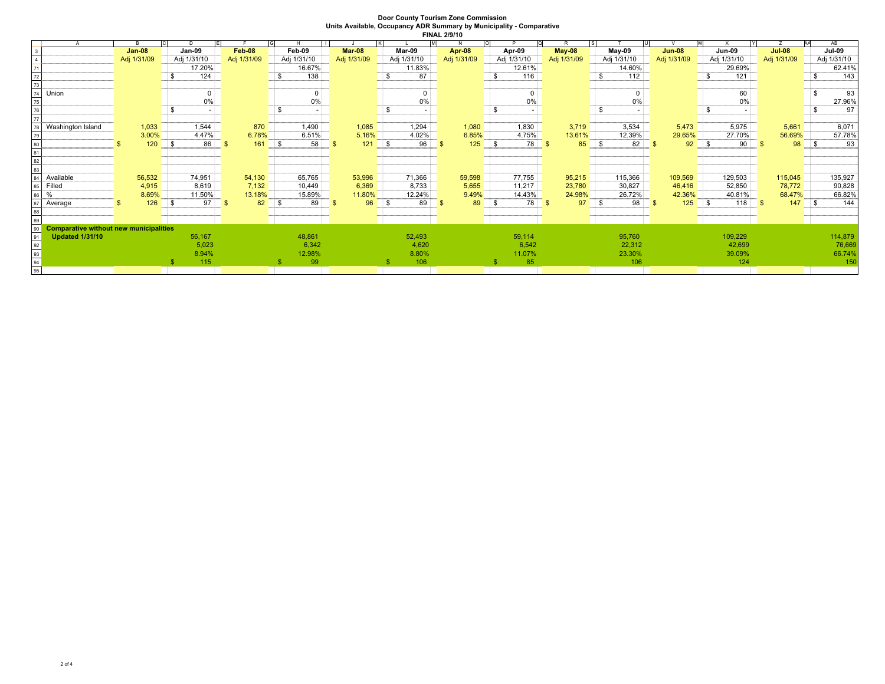|          | A                                             |  |               | D              |             |          | H              |               |              |             | IмI           | $\overline{O}$ |             | R             |        |             |               |               |               | AΑ           | AB          |
|----------|-----------------------------------------------|--|---------------|----------------|-------------|----------|----------------|---------------|--------------|-------------|---------------|----------------|-------------|---------------|--------|-------------|---------------|---------------|---------------|--------------|-------------|
|          |                                               |  | <b>Jan-08</b> | Jan-09         | Feb 08      |          | Feb-09         | <b>Mar-08</b> |              | Mar-09      | <b>Apr 08</b> |                | Apr-09      | <b>May 08</b> |        | May-09      | <b>Jun 08</b> | <b>Jun-09</b> | <b>Jul 08</b> |              | Jul-09      |
|          |                                               |  | Adj 1/31/09   | Adj 1/31/10    | Adj 1/31/09 |          | Adj 1/31/10    | Adj 1/31/09   |              | Adj 1/31/10 | Adj 1/31/09   |                | Adj 1/31/10 | Adj 1/31/09   |        | Adj 1/31/10 | Adj 1/31/09   | Adj 1/31/10   | Adj 1/31/09   |              | Adj 1/31/10 |
|          |                                               |  |               | 17.20%         |             |          | 16.67%         |               |              | 11.83%      |               |                | 12.61%      |               |        | 14.60%      |               | 29.69%        |               |              | 62.41%      |
|          |                                               |  |               | 124            |             |          | 138            |               | -S           | 87          |               | S              | 116         |               |        | 112         |               | 121           |               |              | 143         |
| 73       |                                               |  |               |                |             |          |                |               |              |             |               |                |             |               |        |             |               |               |               |              |             |
|          | Union                                         |  |               | $\overline{0}$ |             |          | 0 <sup>1</sup> |               |              |             |               |                |             |               |        | $\Omega$    |               | 60            |               |              | 93          |
| 75       |                                               |  |               | $0\%$          |             |          | 0%             |               |              | 0%          |               |                | 0%          |               |        | 0%          |               | 0%            |               |              | 27.96%      |
| 76       |                                               |  |               | - \$           |             |          |                |               |              |             |               | \$             |             |               |        |             |               |               |               |              | 97          |
| 77       |                                               |  |               |                |             |          |                |               |              |             |               |                |             |               |        |             |               |               |               |              |             |
|          | Washington Island                             |  | 1,033         | 1,544          | 870         |          | 1,490          | 1,085         |              | 1,294       | 1,080         |                | 1,830       |               | 3,719  | 3,534       | 5,473         | 5,975         | 5,661         |              | 6,071       |
|          |                                               |  | 3.00%         | 4.47%          | 6.78%       |          | 6.51%          | 5.16%         |              | 4.02%       | 6.85%         |                | 4.75%       |               | 13.61% | 12.39%      | 29.65%        | 27.70%        | 56.69%        |              | 57.78%      |
|          |                                               |  | 120           | 86<br>1 S      | 161         | <b>S</b> | 58             | 121           | $\mathsf{S}$ | 96          | 125           | $\mathsf{S}$   | 78 l        |               | 85     | 82          | 92            | 90            | 98            | <b>S</b>     | 93          |
|          |                                               |  |               |                |             |          |                |               |              |             |               |                |             |               |        |             |               |               |               |              |             |
| 82       |                                               |  |               |                |             |          |                |               |              |             |               |                |             |               |        |             |               |               |               |              |             |
|          |                                               |  |               |                |             |          |                |               |              |             |               |                |             |               |        |             |               |               |               |              |             |
|          | Available                                     |  | 56,532        | 74,951         | 54,130      |          | 65,765         | 53,996        |              | 71,366      | 59,598        |                | 77,755      |               | 95,215 | 115,366     | 109,569       | 129,503       | 115,045       |              | 135,927     |
| 85       | Filled                                        |  | 4,915         | 8,619          | 7,132       |          | 10,449         | 6,369         |              | 8,733       | 5,655         |                | 11,217      |               | 23,780 | 30,827      | 46,416        | 52,850        | 78,772        |              | 90,828      |
| 86       |                                               |  | 8.69%         | 11.50%         | 13.18%      |          | 15.89%         | 11.80%        |              | 12.24%      | 9.49%         |                | 14.43%      |               | 24.98% | 26.72%      | 42.36%        | 40.81%        | 68.47%        |              | 66.82%      |
|          | Average                                       |  | 126           | 97<br>l S      | 82          | l S      | 89             | 96            | l S          | 89          | 89            | -96            | 78          | - \$          | 97     | 98          | 125           | 118           | 147           | $\mathbf{s}$ | 144         |
|          |                                               |  |               |                |             |          |                |               |              |             |               |                |             |               |        |             |               |               |               |              |             |
|          |                                               |  |               |                |             |          |                |               |              |             |               |                |             |               |        |             |               |               |               |              |             |
| 90       | <b>Comparative without new municipalities</b> |  |               |                |             |          |                |               |              |             |               |                |             |               |        |             |               |               |               |              |             |
| 91       | <b>Updated 1/31/10</b>                        |  |               | 56,167         |             |          | 48,861         |               |              | 52,493      |               |                | 59,114      |               |        | 95,760      |               | 109,229       |               |              | 114,879     |
| 92<br>93 |                                               |  |               | 5,023          |             |          | 6,342          |               |              | 4,620       |               |                | 6,542       |               |        | 22,312      |               | 42,699        |               |              | 76,669      |
|          |                                               |  |               | 8.94%          |             |          | 12.98%         |               |              | 8.80%       |               |                | 11.07%      |               |        | 23.30%      |               | 39.09%        |               |              | 66.74%      |
| 94       |                                               |  |               | 115            |             |          | 99             |               |              | 106         |               |                | 85          |               |        | 106         |               | 124           |               |              | 150         |
| 95       |                                               |  |               |                |             |          |                |               |              |             |               |                |             |               |        |             |               |               |               |              |             |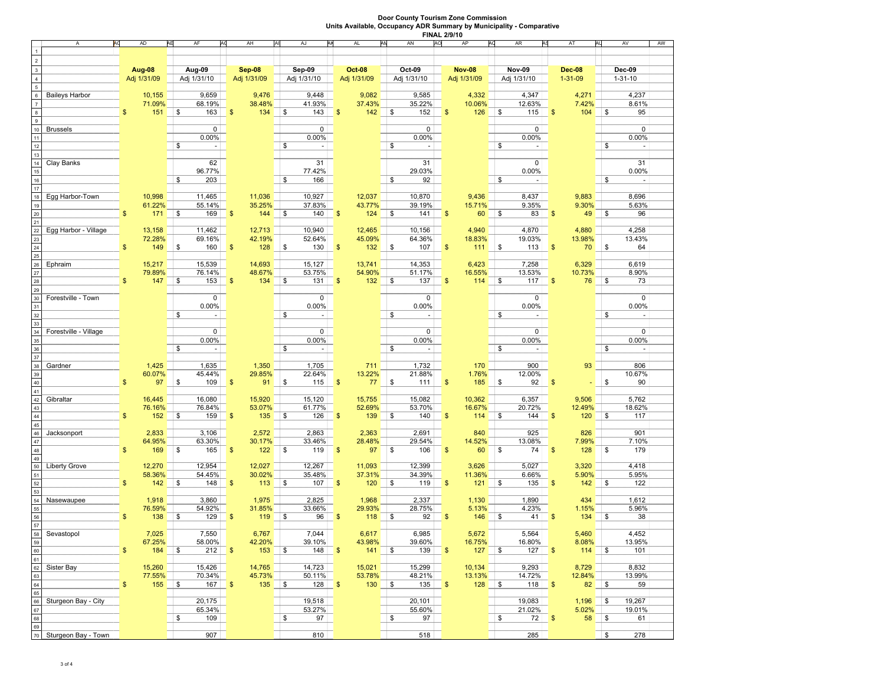|                | A<br>А                |               | AD<br>AE    | AF<br>AG                       | AH                   | AJ<br>AK                       | AM<br>AL              | AN<br>AO     | AP<br>AC                   | AR<br>AS         | AT                        | AV<br>AU                       | AW |
|----------------|-----------------------|---------------|-------------|--------------------------------|----------------------|--------------------------------|-----------------------|--------------|----------------------------|------------------|---------------------------|--------------------------------|----|
|                |                       |               |             |                                |                      |                                |                       |              |                            |                  |                           |                                |    |
| $\overline{2}$ |                       |               |             |                                |                      |                                |                       |              |                            |                  |                           |                                |    |
|                |                       |               |             |                                |                      |                                |                       |              |                            |                  |                           |                                |    |
| 3              |                       |               | Aug 08      | Aug-09                         | Sep 08               | Sep-09                         | <b>Oct 08</b>         | Oct-09       | <b>Nov-08</b>              | <b>Nov-09</b>    | <b>Dec</b> 08             | Dec-09                         |    |
| $\overline{4}$ |                       |               | Adj 1/31/09 | Adj 1/31/10                    | Adj 1/31/09          | Adj 1/31/10                    | Adj 1/31/09           | Adj 1/31/10  | Adj 1/31/09                | Adj 1/31/10      | $1 - 31 - 09$             | $1 - 31 - 10$                  |    |
| 5              |                       |               |             |                                |                      |                                |                       |              |                            |                  |                           |                                |    |
| 6              | <b>Baileys Harbor</b> |               | 10,155      | 9,659                          | 9,476                | 9,448                          | 9,082                 | 9,585        | 4,332                      | 4,347            | 4,271                     | 4,237                          |    |
|                |                       |               | 71.09%      | 68.19%                         | 38.48%               | 41.93%                         | 37.43%                | 35.22%       | 10.06%                     | 12.63%           | 7.42%                     | 8.61%                          |    |
|                |                       | \$            | 151         | \$<br>163                      | $\sqrt{3}$<br>134    | \$<br>143                      | 142<br>$\mathfrak{s}$ | \$<br>152    | $\mathbf{s}$<br>126        | l s<br>115       | $\mathbf{\hat{s}}$<br>104 | \$<br>95                       |    |
| 9              |                       |               |             |                                |                      |                                |                       |              |                            |                  |                           |                                |    |
|                |                       |               |             |                                |                      |                                |                       |              |                            |                  |                           |                                |    |
| 10             | <b>Brussels</b>       |               |             | 0                              |                      | 0                              |                       | 0            |                            | $\mathbf 0$      |                           | 0                              |    |
|                |                       |               |             | 0.00%                          |                      | 0.00%                          |                       | 0.00%        |                            | 0.00%            |                           | 0.00%                          |    |
|                |                       |               |             | \$                             |                      | \$                             |                       | \$           |                            | \$               |                           | \$                             |    |
|                |                       |               |             |                                |                      |                                |                       |              |                            |                  |                           |                                |    |
|                | Clay Banks            |               |             | 62                             |                      | 31                             |                       | 31           |                            | 0                |                           | 31                             |    |
| 15             |                       |               |             | 96.77%                         |                      | 77.42%                         |                       | 29.03%       |                            | 0.00%            |                           | 0.00%                          |    |
|                |                       |               |             | 203<br>\$                      |                      | \$<br>166                      |                       | 92<br>\$     |                            | \$               |                           | \$                             |    |
| 16             |                       |               |             |                                |                      |                                |                       |              |                            |                  |                           |                                |    |
| 17             |                       |               |             |                                |                      |                                |                       |              |                            |                  |                           |                                |    |
| 18             | Egg Harbor-Town       |               | 10,998      | 11,465                         | 11,036               | 10,927                         | 12,037                | 10,870       | 9,436                      | 8,437            | 9,883                     | 8,696                          |    |
| 19             |                       |               | 61.22%      | 55.14%                         | 35.25%               | 37.83%                         | 43.77%                | 39.19%       | 15.71%                     | 9.35%            | 9.30%                     | 5.63%                          |    |
| 20             |                       | \$            | 171         | \$<br>169                      | $\sqrt{3}$<br>144    | \$<br>140                      | $\sqrt{3}$<br>124     | \$<br>141    | $\mathbf{\$}$<br>60        | $\sqrt{S}$<br>83 | 49<br>$\sqrt{3}$          | \$<br>96                       |    |
| 21             |                       |               |             |                                |                      |                                |                       |              |                            |                  |                           |                                |    |
| 22             | Egg Harbor - Village  |               | 13,158      | 11,462                         | 12,713               | 10,940                         | 12,465                | 10,156       | 4,940                      | 4,870            | 4,880                     | 4,258                          |    |
| 23             |                       |               | 72.28%      | 69.16%                         | 42.19%               | 52.64%                         | 45.09%                | 64.36%       | 18.83%                     | 19.03%           | 13.98%                    | 13.43%                         |    |
|                |                       | \$            |             |                                |                      |                                |                       |              |                            |                  |                           |                                |    |
| 24             |                       |               | 149         | \$<br>160                      | $\sqrt{3}$<br>128    | \$<br>130                      | $\sqrt{3}$<br>132     | \$<br>107    | $\mathbf{\$}$<br>111       | \$<br>113        | 70<br>$\sqrt{3}$          | \$<br>64                       |    |
| 25             |                       |               |             |                                |                      |                                |                       |              |                            |                  |                           |                                |    |
| 26             | Ephraim               |               | 15,217      | 15,539                         | 14,693               | 15,127                         | 13,741                | 14,353       | 6,423                      | 7,258            | 6,329                     | 6,619                          |    |
| 27             |                       |               | 79.89%      | 76.14%                         | 48.67%               | 53.75%                         | 54.90%                | 51.17%       | 16.55%                     | 13.53%           | 10.73%                    | 8.90%                          |    |
| 28             |                       |               | 147         | \$<br>153                      | $\sqrt{3}$<br>134    | \$<br>131                      | $\sqrt{3}$<br>132     | \$<br>137    | $\mathbf{s}$<br>114        | 117<br>1\$       | 76<br>$\mathbf{s}$        | \$<br>73                       |    |
| 29             |                       |               |             |                                |                      |                                |                       |              |                            |                  |                           |                                |    |
| 30             | Forestville - Town    |               |             | 0                              |                      | 0                              |                       | 0            |                            | 0                |                           | 0                              |    |
|                |                       |               |             |                                |                      |                                |                       |              |                            |                  |                           |                                |    |
|                |                       |               |             | $0.00\%$                       |                      | 0.00%                          |                       | 0.00%        |                            | 0.00%            |                           | 0.00%                          |    |
| 32             |                       |               |             | \$<br>$\overline{\phantom{a}}$ |                      | \$<br>$\overline{\phantom{a}}$ |                       | \$<br>$\sim$ |                            | \$               |                           | \$<br>$\overline{\phantom{a}}$ |    |
| 33             |                       |               |             |                                |                      |                                |                       |              |                            |                  |                           |                                |    |
| 34             | Forestville - Village |               |             | 0                              |                      | 0 <sup>1</sup>                 |                       | 0            |                            | 0                |                           | $\mathbf 0$                    |    |
| 35             |                       |               |             | 0.00%                          |                      | 0.00%                          |                       | 0.00%        |                            | 0.00%            |                           | 0.00%                          |    |
| 36             |                       |               |             | \$<br>$\overline{\phantom{a}}$ |                      | \$<br>$\sim$                   |                       | \$<br>٠      |                            | \$               |                           | \$<br>$\overline{\phantom{a}}$ |    |
| 37             |                       |               |             |                                |                      |                                |                       |              |                            |                  |                           |                                |    |
|                |                       |               |             |                                |                      |                                |                       |              |                            |                  |                           |                                |    |
| 38             | Gardner               |               | 1,425       | 1,635                          | 1,350                | 1,705                          | 711                   | 1,732        | 170                        | 900              | 93                        | 806                            |    |
| 39             |                       |               | 60.07%      | 45.44%                         | 29.85%               | 22.64%                         | 13.22%                | 21.88%       | 1.76%                      | 12.00%           |                           | 10.67%                         |    |
| 40             |                       |               | 97          | \$<br>109                      | $\mathbf{\$}$<br>91  | \$<br>115                      | $\sqrt{3}$<br>77      | \$<br>111    | $\mathbf{s}$<br>185        | 92<br><b>S</b>   | -\$                       | 90<br>\$                       |    |
| 41             |                       |               |             |                                |                      |                                |                       |              |                            |                  |                           |                                |    |
| 42             | Gibraltar             |               | 16,445      | 16,080                         | 15,920               | 15,120                         | 15,755                | 15,082       | 10,362                     | 6,357            | 9,506                     | 5,762                          |    |
| 43             |                       |               | 76.16%      | 76.84%                         | 53.07%               | 61.77%                         | 52.69%                | 53.70%       | 16.67%                     | 20.72%           | 12.49%                    | 18.62%                         |    |
| 44             |                       | \$            | 152         | 159<br>\$                      | $\mathbf{\$}$<br>135 | 126<br>\$                      | $\sqrt{3}$<br>139     | \$<br>140    | $\mathbf{s}$<br>114        | \$<br>144        | 120<br>$\mathbf{\$}$      | 117<br>\$                      |    |
| 45             |                       |               |             |                                |                      |                                |                       |              |                            |                  |                           |                                |    |
|                |                       |               |             |                                |                      |                                |                       |              |                            |                  |                           | 901                            |    |
| 46             | Jacksonport           |               | 2,833       | 3,106                          | 2,572                | 2,863                          | 2,363                 | 2,691        | 840                        | 925              | 826                       |                                |    |
| 47             |                       |               | 64.95%      | 63.30%                         | 30.17%               | 33.46%                         | 28.48%                | 29.54%       | 14.52%                     | 13.08%           | 7.99%                     | 7.10%                          |    |
| 48             |                       | \$            | 169         | 165<br>\$                      | \$<br>122            | \$<br>119                      | 97<br>$\sqrt{3}$      | \$<br>106    | $\mathbf{s}$<br>60         | 74<br>\$         | 128<br>$\mathbf{\$}$      | 179<br>\$                      |    |
| 49             |                       |               |             |                                |                      |                                |                       |              |                            |                  |                           |                                |    |
| 50             | <b>Liberty Grove</b>  |               | 12,270      | 12,954                         | 12,027               | 12,267                         | 11,093                | 12,399       | 3,626                      | 5,027            | 3,320                     | 4,418                          |    |
| 51             |                       |               | 58.36%      | 54.45%                         | 30.02%               | 35.48%                         | 37.31%                | 34.39%       | 11.36%                     | 6.66%            | 5.90%                     | 5.95%                          |    |
| 52             |                       | \$            | 142         | 148<br>\$                      | $\mathbf{\$}$<br>113 | 107<br>\$                      | 120<br>$\sqrt{3}$     | 119<br>\$    | 121<br>\$                  | 135<br>\$        | 142<br>$\mathbb{S}$       | 122<br>\$                      |    |
| 53             |                       |               |             |                                |                      |                                |                       |              |                            |                  |                           |                                |    |
| 54             | Nasewaupee            |               | 1,918       | 3,860                          | 1,975                | 2,825                          | 1,968                 | 2,337        | 1,130                      | 1,890            | 434                       | 1,612                          |    |
|                |                       |               |             |                                |                      |                                |                       |              |                            |                  |                           |                                |    |
| 55             |                       |               | 76.59%      | 54.92%                         | 31.85%               | 33.66%                         | 29.93%                | 28.75%       | 5.13%                      | 4.23%            | 1.15%                     | 5.96%                          |    |
| 56             |                       | \$            | 138         | 129<br>\$                      | $\sqrt{3}$<br>119    | \$<br>96                       | $\sqrt{3}$<br>118     | \$<br>92     | $\mathbf{\$}$<br>146       | <b>S</b><br>41   | $\mathbf{\$}$<br>134      | 38<br>\$                       |    |
| 57             |                       |               |             |                                |                      |                                |                       |              |                            |                  |                           |                                |    |
| 58             | Sevastopol            |               | 7,025       | 7,550                          | 6,767                | 7,044                          | 6,617                 | 6,985        | 5,672                      | 5,564            | 5,460                     | 4,452                          |    |
| 59             |                       |               | 67.25%      | 58.00%                         | 42.20%               | 39.10%                         | 43.98%                | 39.60%       | 16.75%                     | 16.80%           | 8.08%                     | 13.95%                         |    |
| 60             |                       | \$            | 184         | 212<br>\$                      | 153<br>$\sqrt{3}$    | 148<br>\$                      | $\sqrt{3}$<br>141     | \$<br>139    | 127<br>\$                  | \$<br>127        | 114<br>$\mathfrak{s}$     | 101<br>\$                      |    |
| 61             |                       |               |             |                                |                      |                                |                       |              |                            |                  |                           |                                |    |
|                |                       |               | 15,260      |                                |                      |                                | 15,021                |              |                            |                  | 8,729                     |                                |    |
| 62             | Sister Bay            |               |             | 15,426                         | 14,765               | 14,723                         |                       | 15,299       | 10,134                     | 9,293            |                           | 8,832                          |    |
| 63             |                       |               | 77.55%      | 70.34%                         | 45.73%               | 50.11%                         | 53.78%                | 48.21%       | 13.13%                     | 14.72%           | 12.84%                    | 13.99%                         |    |
| 64             |                       | $\frac{1}{2}$ | 155         | 167<br>\$                      | 135                  | \$<br>128                      | 130<br>$\sqrt{3}$     | \$<br>135    | $128$ \$<br>$\mathfrak{s}$ | 118              | 82<br>$\sqrt{3}$          | \$<br>59                       |    |
| 65             |                       |               |             |                                |                      |                                |                       |              |                            |                  |                           |                                |    |
| 66             | Sturgeon Bay - City   |               |             | 20,175                         |                      | 19,518                         |                       | 20,101       |                            | 19,083           | 1,196                     | 19,267<br>\$                   |    |
| 67             |                       |               |             | 65.34%                         |                      | 53.27%                         |                       | 55.60%       |                            | 21.02%           | 5.02%                     | 19.01%                         |    |
| 68             |                       |               |             | \$<br>109                      |                      | \$<br>97                       |                       | \$<br>97     |                            | \$<br>72         | 58 \$<br>$\mathfrak{s}$   | 61                             |    |
|                |                       |               |             |                                |                      |                                |                       |              |                            |                  |                           |                                |    |
| 69             |                       |               |             |                                |                      |                                |                       |              |                            |                  |                           |                                |    |
| $70\,$         | Sturgeon Bay - Town   |               |             | 907                            |                      | 810                            |                       | 518          |                            | 285              |                           | \$<br>278                      |    |